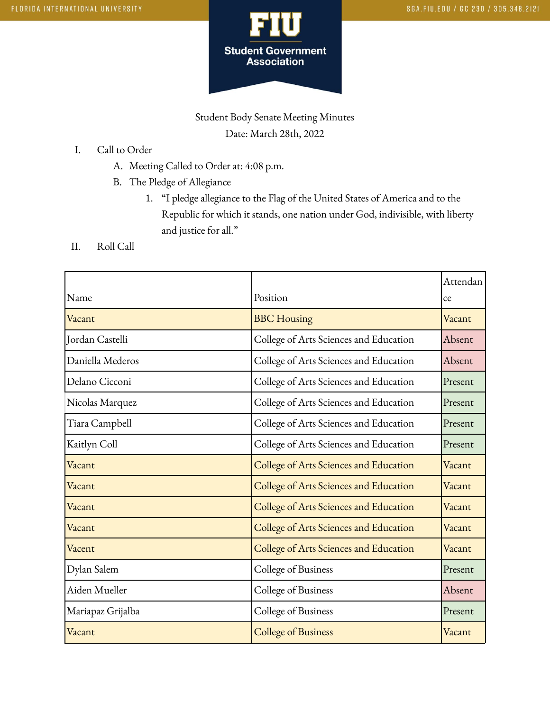

## Student Body Senate Meeting Minutes Date: March 28th, 2022

- I. Call to Order
	- A. Meeting Called to Order at: 4:08 p.m.
	- B. The Pledge of Allegiance
		- 1. "I pledge allegiance to the Flag of the United States of America and to the Republic for which it stands, one nation under God, indivisible, with liberty and justice for all."
- II. Roll Call

|                   |                                        | Attendan |
|-------------------|----------------------------------------|----------|
| Name              | Position                               | ce       |
| Vacant            | <b>BBC</b> Housing                     | Vacant   |
| Jordan Castelli   | College of Arts Sciences and Education | Absent   |
| Daniella Mederos  | College of Arts Sciences and Education | Absent   |
| Delano Cicconi    | College of Arts Sciences and Education | Present  |
| Nicolas Marquez   | College of Arts Sciences and Education | Present  |
| Tiara Campbell    | College of Arts Sciences and Education | Present  |
| Kaitlyn Coll      | College of Arts Sciences and Education | Present  |
| Vacant            | College of Arts Sciences and Education | Vacant   |
| Vacant            | College of Arts Sciences and Education | Vacant   |
| Vacant            | College of Arts Sciences and Education | Vacant   |
| Vacant            | College of Arts Sciences and Education | Vacant   |
| Vacent            | College of Arts Sciences and Education | Vacant   |
| Dylan Salem       | College of Business                    | Present  |
| Aiden Mueller     | College of Business                    | Absent   |
| Mariapaz Grijalba | College of Business                    | Present  |
| Vacant            | <b>College of Business</b>             | Vacant   |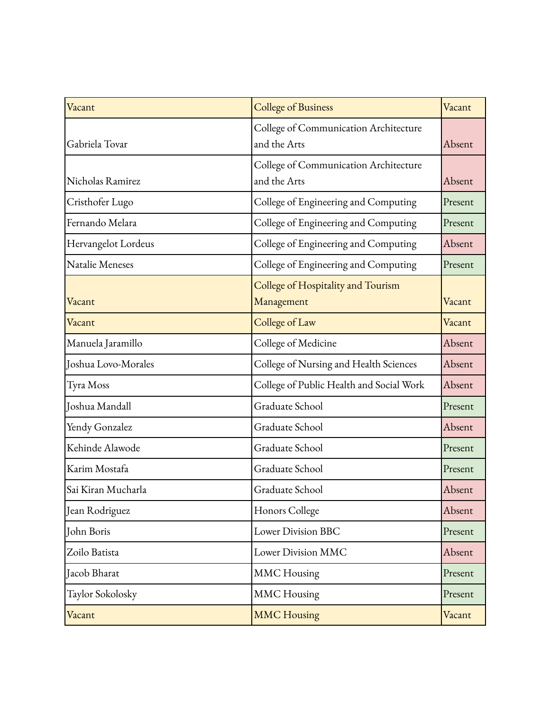| Vacant              | <b>College of Business</b>                            | Vacant  |
|---------------------|-------------------------------------------------------|---------|
| Gabriela Tovar      | College of Communication Architecture<br>and the Arts | Absent  |
| Nicholas Ramirez    | College of Communication Architecture<br>and the Arts | Absent  |
|                     |                                                       |         |
| Cristhofer Lugo     | College of Engineering and Computing                  | Present |
| Fernando Melara     | College of Engineering and Computing                  | Present |
| Hervangelot Lordeus | College of Engineering and Computing                  | Absent  |
| Natalie Meneses     | College of Engineering and Computing                  | Present |
|                     | College of Hospitality and Tourism                    |         |
| Vacant              | Management                                            | Vacant  |
| Vacant              | College of Law                                        | Vacant  |
| Manuela Jaramillo   | College of Medicine                                   | Absent  |
| Joshua Lovo-Morales | College of Nursing and Health Sciences                | Absent  |
| Tyra Moss           | College of Public Health and Social Work              | Absent  |
| Joshua Mandall      | Graduate School                                       | Present |
| Yendy Gonzalez      | Graduate School                                       | Absent  |
| Kehinde Alawode     | Graduate School                                       | Present |
| Karim Mostafa       | Graduate School                                       | Present |
| Sai Kiran Mucharla  | Graduate School                                       | Absent  |
| Jean Rodriguez      | Honors College                                        | Absent  |
| John Boris          | <b>Lower Division BBC</b>                             | Present |
| Zoilo Batista       | Lower Division MMC                                    | Absent  |
| Jacob Bharat        | <b>MMC</b> Housing                                    | Present |
| Taylor Sokolosky    | <b>MMC</b> Housing                                    | Present |
| Vacant              | <b>MMC Housing</b>                                    | Vacant  |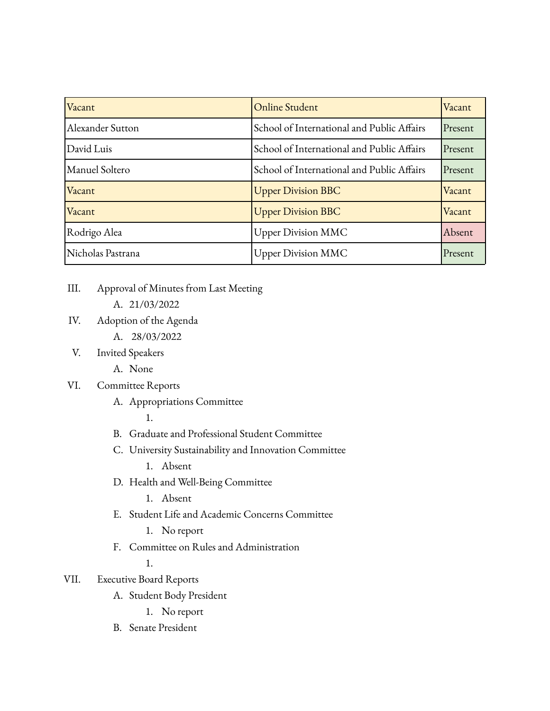| Vacant            | <b>Online Student</b>                      | Vacant  |
|-------------------|--------------------------------------------|---------|
| Alexander Sutton  | School of International and Public Affairs | Present |
| David Luis        | School of International and Public Affairs | Present |
| Manuel Soltero    | School of International and Public Affairs | Present |
| Vacant            | <b>Upper Division BBC</b>                  | Vacant  |
| Vacant            | <b>Upper Division BBC</b>                  | Vacant  |
| Rodrigo Alea      | <b>Upper Division MMC</b>                  | Absent  |
| Nicholas Pastrana | <b>Upper Division MMC</b>                  | Present |

- III. Approval of Minutes from Last Meeting
	- A. 21/03/2022
- IV. Adoption of the Agenda
	- A. 28/03/2022
- V. Invited Speakers
	- A. None

## VI. Committee Reports

A. Appropriations Committee

1.

- B. Graduate and Professional Student Committee
- C. University Sustainability and Innovation Committee
	- 1. Absent
- D. Health and Well-Being Committee
	- 1. Absent
- E. Student Life and Academic Concerns Committee
	- 1. No report
- F. Committee on Rules and Administration

1.

- VII. Executive Board Reports
	- A. Student Body President
		- 1. No report
	- B. Senate President